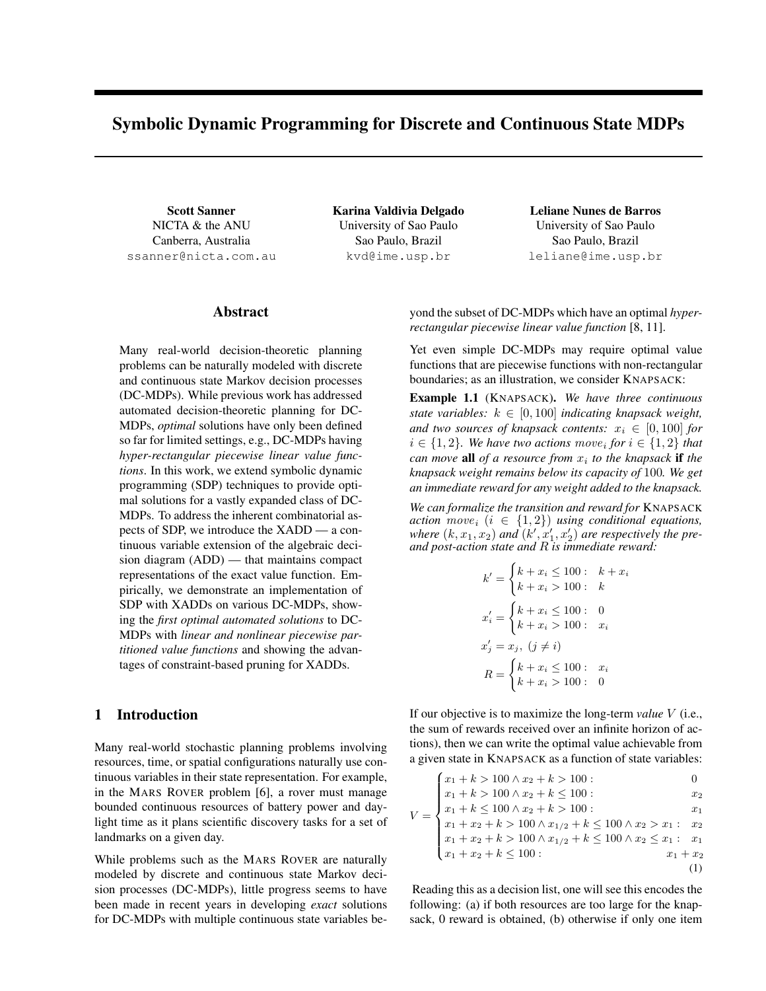# Symbolic Dynamic Programming for Discrete and Continuous State MDPs

Scott Sanner NICTA & the ANU Canberra, Australia ssanner@nicta.com.au Karina Valdivia Delgado University of Sao Paulo Sao Paulo, Brazil kvd@ime.usp.br

Leliane Nunes de Barros University of Sao Paulo Sao Paulo, Brazil leliane@ime.usp.br

### Abstract

Many real-world decision-theoretic planning problems can be naturally modeled with discrete and continuous state Markov decision processes (DC-MDPs). While previous work has addressed automated decision-theoretic planning for DC-MDPs, *optimal* solutions have only been defined so far for limited settings, e.g., DC-MDPs having *hyper-rectangular piecewise linear value functions*. In this work, we extend symbolic dynamic programming (SDP) techniques to provide optimal solutions for a vastly expanded class of DC-MDPs. To address the inherent combinatorial aspects of SDP, we introduce the XADD — a continuous variable extension of the algebraic decision diagram (ADD) — that maintains compact representations of the exact value function. Empirically, we demonstrate an implementation of SDP with XADDs on various DC-MDPs, showing the *first optimal automated solutions* to DC-MDPs with *linear and nonlinear piecewise partitioned value functions* and showing the advantages of constraint-based pruning for XADDs.

# 1 Introduction

Many real-world stochastic planning problems involving resources, time, or spatial configurations naturally use continuous variables in their state representation. For example, in the MARS ROVER problem [6], a rover must manage bounded continuous resources of battery power and daylight time as it plans scientific discovery tasks for a set of landmarks on a given day.

While problems such as the MARS ROVER are naturally modeled by discrete and continuous state Markov decision processes (DC-MDPs), little progress seems to have been made in recent years in developing *exact* solutions for DC-MDPs with multiple continuous state variables beyond the subset of DC-MDPs which have an optimal *hyperrectangular piecewise linear value function* [8, 11].

Yet even simple DC-MDPs may require optimal value functions that are piecewise functions with non-rectangular boundaries; as an illustration, we consider KNAPSACK:

Example 1.1 (KNAPSACK). *We have three continuous state variables:*  $k \in [0, 100]$  *indicating knapsack weight, and two sources of knapsack contents:*  $x_i \in [0, 100]$  *for*  $i \in \{1, 2\}$ . We have two actions  $move_i$  for  $i \in \{1, 2\}$  that *can move* all *of a resource from*  $x_i$  to the knapsack if the *knapsack weight remains below its capacity of* 100*. We get an immediate reward for any weight added to the knapsack.*

*We can formalize the transition and reward for* KNAPSACK *action*  $move_i$   $(i \in \{1, 2\})$  *using conditional equations,* where  $(k, x_1, x_2)$  and  $(k', x'_1, x'_2)$  are respectively the pre*and post-action state and* R *is immediate reward:*

$$
k' = \begin{cases} k + x_i \le 100: & k + x_i \\ k + x_i > 100: & k \end{cases}
$$
  

$$
x'_i = \begin{cases} k + x_i \le 100: & 0 \\ k + x_i > 100: & x_i \end{cases}
$$
  

$$
x'_j = x_j, (j \ne i)
$$
  

$$
R = \begin{cases} k + x_i \le 100: & x_i \\ k + x_i > 100: & 0 \end{cases}
$$

If our objective is to maximize the long-term *value* V (i.e., the sum of rewards received over an infinite horizon of actions), then we can write the optimal value achievable from a given state in KNAPSACK as a function of state variables:

$$
V = \begin{cases} x_1 + k > 100 \land x_2 + k > 100: & 0\\ x_1 + k > 100 \land x_2 + k \le 100: & x_2\\ x_1 + k \le 100 \land x_2 + k > 100: & x_1\\ x_1 + x_2 + k > 100 \land x_1/2 + k \le 100 \land x_2 > x_1: & x_2\\ x_1 + x_2 + k > 100 \land x_1/2 + k \le 100 \land x_2 \le x_1: & x_1\\ x_1 + x_2 + k \le 100: & x_1 + x_2 \end{cases}
$$
(1)

Reading this as a decision list, one will see this encodes the following: (a) if both resources are too large for the knapsack, 0 reward is obtained, (b) otherwise if only one item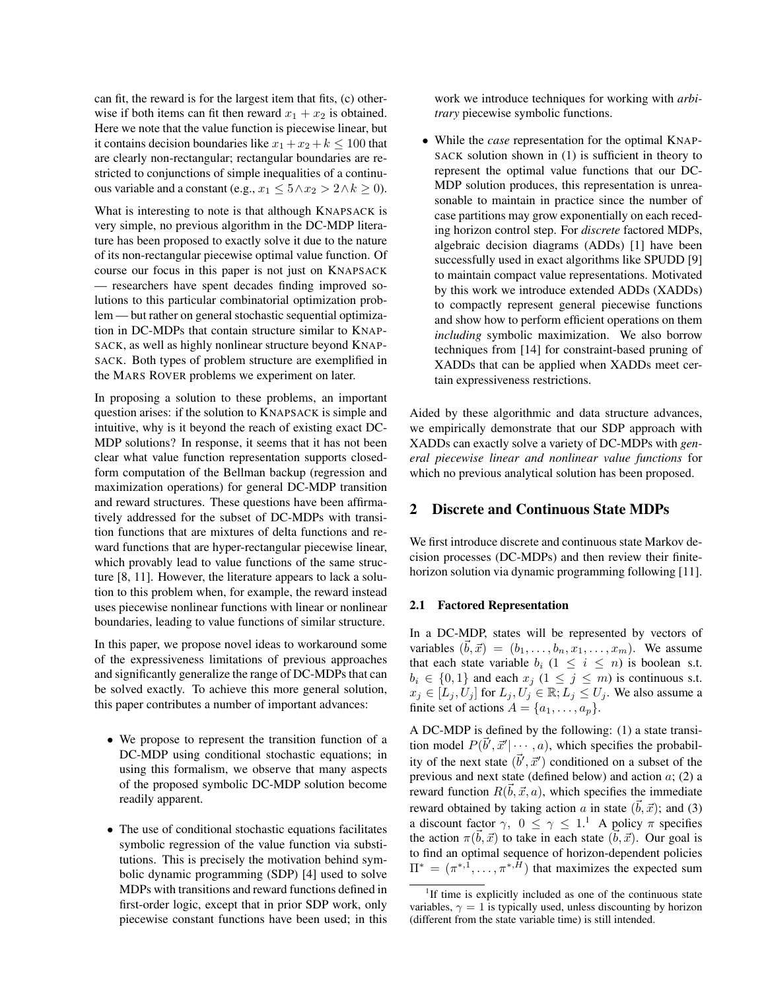can fit, the reward is for the largest item that fits, (c) otherwise if both items can fit then reward  $x_1 + x_2$  is obtained. Here we note that the value function is piecewise linear, but it contains decision boundaries like  $x_1 + x_2 + k \le 100$  that are clearly non-rectangular; rectangular boundaries are restricted to conjunctions of simple inequalities of a continuous variable and a constant (e.g.,  $x_1 \leq 5 \land x_2 > 2 \land k \geq 0$ ).

What is interesting to note is that although KNAPSACK is very simple, no previous algorithm in the DC-MDP literature has been proposed to exactly solve it due to the nature of its non-rectangular piecewise optimal value function. Of course our focus in this paper is not just on KNAPSACK — researchers have spent decades finding improved solutions to this particular combinatorial optimization problem — but rather on general stochastic sequential optimization in DC-MDPs that contain structure similar to KNAP-SACK, as well as highly nonlinear structure beyond KNAP-SACK. Both types of problem structure are exemplified in the MARS ROVER problems we experiment on later.

In proposing a solution to these problems, an important question arises: if the solution to KNAPSACK is simple and intuitive, why is it beyond the reach of existing exact DC-MDP solutions? In response, it seems that it has not been clear what value function representation supports closedform computation of the Bellman backup (regression and maximization operations) for general DC-MDP transition and reward structures. These questions have been affirmatively addressed for the subset of DC-MDPs with transition functions that are mixtures of delta functions and reward functions that are hyper-rectangular piecewise linear, which provably lead to value functions of the same structure [8, 11]. However, the literature appears to lack a solution to this problem when, for example, the reward instead uses piecewise nonlinear functions with linear or nonlinear boundaries, leading to value functions of similar structure.

In this paper, we propose novel ideas to workaround some of the expressiveness limitations of previous approaches and significantly generalize the range of DC-MDPs that can be solved exactly. To achieve this more general solution, this paper contributes a number of important advances:

- We propose to represent the transition function of a DC-MDP using conditional stochastic equations; in using this formalism, we observe that many aspects of the proposed symbolic DC-MDP solution become readily apparent.
- The use of conditional stochastic equations facilitates symbolic regression of the value function via substitutions. This is precisely the motivation behind symbolic dynamic programming (SDP) [4] used to solve MDPs with transitions and reward functions defined in first-order logic, except that in prior SDP work, only piecewise constant functions have been used; in this

work we introduce techniques for working with *arbitrary* piecewise symbolic functions.

• While the *case* representation for the optimal KNAP-SACK solution shown in (1) is sufficient in theory to represent the optimal value functions that our DC-MDP solution produces, this representation is unreasonable to maintain in practice since the number of case partitions may grow exponentially on each receding horizon control step. For *discrete* factored MDPs, algebraic decision diagrams (ADDs) [1] have been successfully used in exact algorithms like SPUDD [9] to maintain compact value representations. Motivated by this work we introduce extended ADDs (XADDs) to compactly represent general piecewise functions and show how to perform efficient operations on them *including* symbolic maximization. We also borrow techniques from [14] for constraint-based pruning of XADDs that can be applied when XADDs meet certain expressiveness restrictions.

Aided by these algorithmic and data structure advances, we empirically demonstrate that our SDP approach with XADDs can exactly solve a variety of DC-MDPs with *general piecewise linear and nonlinear value functions* for which no previous analytical solution has been proposed.

### 2 Discrete and Continuous State MDPs

We first introduce discrete and continuous state Markov decision processes (DC-MDPs) and then review their finitehorizon solution via dynamic programming following [11].

#### 2.1 Factored Representation

In a DC-MDP, states will be represented by vectors of variables  $(\vec{b}, \vec{x}) = (b_1, \ldots, b_n, x_1, \ldots, x_m)$ . We assume that each state variable  $b_i$  ( $1 \leq i \leq n$ ) is boolean s.t.  $b_i \in \{0,1\}$  and each  $x_j$   $(1 \le j \le m)$  is continuous s.t.  $x_j \in [L_j, U_j]$  for  $L_j, U_j \in \mathbb{R}; L_j \leq U_j$ . We also assume a finite set of actions  $A = \{a_1, \ldots, a_p\}.$ 

A DC-MDP is defined by the following: (1) a state transition model  $P(\vec{b}', \vec{x}' | \cdots, a)$ , which specifies the probability of the next state  $(\vec{b}', \vec{x}')$  conditioned on a subset of the previous and next state (defined below) and action  $a$ ; (2) a reward function  $R(\vec{b}, \vec{x}, a)$ , which specifies the immediate reward obtained by taking action a in state  $(\vec{b}, \vec{x})$ ; and (3) a discount factor  $\gamma$ ,  $0 \leq \gamma \leq 1$ .<sup>1</sup> A policy  $\pi$  specifies the action  $\pi(\vec{b}, \vec{x})$  to take in each state  $(\vec{b}, \vec{x})$ . Our goal is to find an optimal sequence of horizon-dependent policies  $\Pi^* = (\pi^{*,1}, \dots, \pi^{*,H})$  that maximizes the expected sum

<sup>&</sup>lt;sup>1</sup>If time is explicitly included as one of the continuous state variables,  $\gamma = 1$  is typically used, unless discounting by horizon (different from the state variable time) is still intended.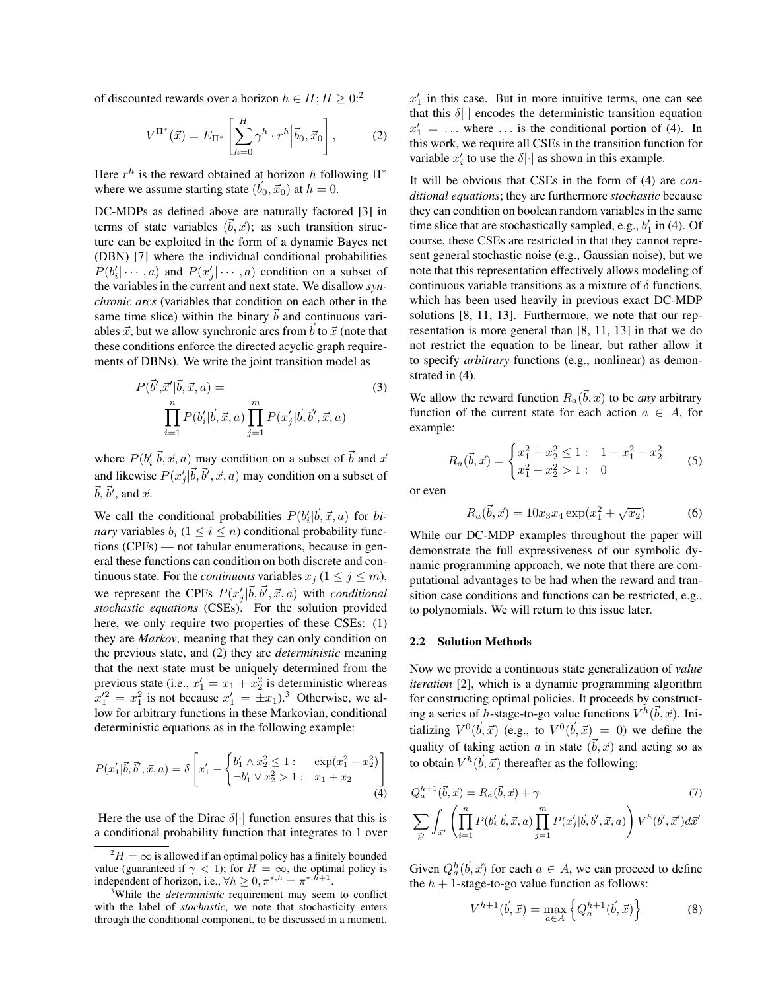of discounted rewards over a horizon  $h \in H; H \geq 0$ :<sup>2</sup>

$$
V^{\Pi^*}(\vec{x}) = E_{\Pi^*} \left[ \sum_{h=0}^{H} \gamma^h \cdot r^h \Big| \vec{b}_0, \vec{x}_0 \right],
$$
 (2)

Here  $r^h$  is the reward obtained at horizon h following  $\Pi^*$ where we assume starting state  $(\vec{b}_0, \vec{x}_0)$  at  $h = 0$ .

DC-MDPs as defined above are naturally factored [3] in terms of state variables  $(\vec{b}, \vec{x})$ ; as such transition structure can be exploited in the form of a dynamic Bayes net (DBN) [7] where the individual conditional probabilities  $P(b'_i | \cdots, a)$  and  $P(x'_j | \cdots, a)$  condition on a subset of the variables in the current and next state. We disallow *synchronic arcs* (variables that condition on each other in the same time slice) within the binary  $\bar{b}$  and continuous variables  $\vec{x}$ , but we allow synchronic arcs from  $\vec{b}$  to  $\vec{x}$  (note that these conditions enforce the directed acyclic graph requirements of DBNs). We write the joint transition model as

$$
P(\vec{b}', \vec{x}'|\vec{b}, \vec{x}, a) = \prod_{i=1}^{n} P(b'_i|\vec{b}, \vec{x}, a) \prod_{j=1}^{m} P(x'_j|\vec{b}, \vec{b}', \vec{x}, a)
$$
 (3)

where  $P(b_i'|\vec{b}, \vec{x}, a)$  may condition on a subset of  $\vec{b}$  and  $\vec{x}$ and likewise  $P(x'_j|\vec{b}, \vec{b}', \vec{x}, a)$  may condition on a subset of  $\vec{b}, \vec{b}'$ , and  $\vec{x}$ .

We call the conditional probabilities  $P(b_i'|\vec{b}, \vec{x}, a)$  for *binary* variables  $b_i$  ( $1 \le i \le n$ ) conditional probability functions (CPFs) — not tabular enumerations, because in general these functions can condition on both discrete and continuous state. For the *continuous* variables  $x_i$  ( $1 \le j \le m$ ), we represent the CPFs  $P(x_j'|\vec{b}, \vec{b}', \vec{x}, a)$  with *conditional stochastic equations* (CSEs). For the solution provided here, we only require two properties of these CSEs: (1) they are *Markov*, meaning that they can only condition on the previous state, and (2) they are *deterministic* meaning that the next state must be uniquely determined from the previous state (i.e.,  $x'_1 = x_1 + x_2^2$  is deterministic whereas  $x_1^2 = x_1^2$  is not because  $x_1' = \pm x_1$ .<sup>3</sup> Otherwise, we allow for arbitrary functions in these Markovian, conditional deterministic equations as in the following example:

$$
P(x'_1|\vec{b}, \vec{b}', \vec{x}, a) = \delta \left[ x'_1 - \begin{cases} b'_1 \wedge x_2^2 \le 1: & \exp(x_1^2 - x_2^2) \\ -b'_1 \vee x_2^2 > 1: & x_1 + x_2 \end{cases} \right] (4)
$$

Here the use of the Dirac  $\delta[\cdot]$  function ensures that this is a conditional probability function that integrates to 1 over

 $x_1'$  in this case. But in more intuitive terms, one can see that this  $\delta[\cdot]$  encodes the deterministic transition equation  $x'_1 = \ldots$  where  $\ldots$  is the conditional portion of (4). In this work, we require all CSEs in the transition function for variable  $x'_i$  to use the  $\delta[\cdot]$  as shown in this example.

It will be obvious that CSEs in the form of (4) are *conditional equations*; they are furthermore *stochastic* because they can condition on boolean random variables in the same time slice that are stochastically sampled, e.g.,  $b'_1$  in (4). Of course, these CSEs are restricted in that they cannot represent general stochastic noise (e.g., Gaussian noise), but we note that this representation effectively allows modeling of continuous variable transitions as a mixture of  $\delta$  functions, which has been used heavily in previous exact DC-MDP solutions [8, 11, 13]. Furthermore, we note that our representation is more general than [8, 11, 13] in that we do not restrict the equation to be linear, but rather allow it to specify *arbitrary* functions (e.g., nonlinear) as demonstrated in (4).

We allow the reward function  $R_a(\vec{b}, \vec{x})$  to be *any* arbitrary function of the current state for each action  $a \in A$ , for example:

$$
R_a(\vec{b}, \vec{x}) = \begin{cases} x_1^2 + x_2^2 \le 1: & 1 - x_1^2 - x_2^2\\ x_1^2 + x_2^2 > 1: & 0 \end{cases}
$$
 (5)

or even

$$
R_a(\vec{b}, \vec{x}) = 10x_3x_4 \exp(x_1^2 + \sqrt{x_2})
$$
 (6)

While our DC-MDP examples throughout the paper will demonstrate the full expressiveness of our symbolic dynamic programming approach, we note that there are computational advantages to be had when the reward and transition case conditions and functions can be restricted, e.g., to polynomials. We will return to this issue later.

#### 2.2 Solution Methods

Now we provide a continuous state generalization of *value iteration* [2], which is a dynamic programming algorithm for constructing optimal policies. It proceeds by constructing a series of h-stage-to-go value functions  $V^{\hbar}(\vec{b}, \vec{x})$ . Initializing  $V^0(\vec{b}, \vec{x})$  (e.g., to  $V^0(\vec{b}, \vec{x}) = 0$ ) we define the quality of taking action a in state  $(\vec{b}, \vec{x})$  and acting so as to obtain  $V^h(\vec{b}, \vec{x})$  thereafter as the following:

$$
Q_a^{h+1}(\vec{b}, \vec{x}) = R_a(\vec{b}, \vec{x}) + \gamma.
$$
\n
$$
\sum_{\vec{b}'} \int_{\vec{x}'} \left( \prod_{i=1}^n P(b_i' | \vec{b}, \vec{x}, a) \prod_{j=1}^m P(x_j' | \vec{b}, \vec{b}', \vec{x}, a) \right) V^h(\vec{b}', \vec{x}') d\vec{x}'
$$
\n(7)

Given  $Q_a^h(\vec{b}, \vec{x})$  for each  $a \in A$ , we can proceed to define the  $h + 1$ -stage-to-go value function as follows:

$$
V^{h+1}(\vec{b}, \vec{x}) = \max_{a \in A} \left\{ Q_a^{h+1}(\vec{b}, \vec{x}) \right\}
$$
 (8)

 $^{2}H = \infty$  is allowed if an optimal policy has a finitely bounded value (guaranteed if  $\gamma$  < 1); for  $H = \infty$ , the optimal policy is independent of horizon, i.e.,  $\forall h \geq 0, \pi^{*,h} = \pi^{*,h+1}$ .

<sup>3</sup>While the *deterministic* requirement may seem to conflict with the label of *stochastic*, we note that stochasticity enters through the conditional component, to be discussed in a moment.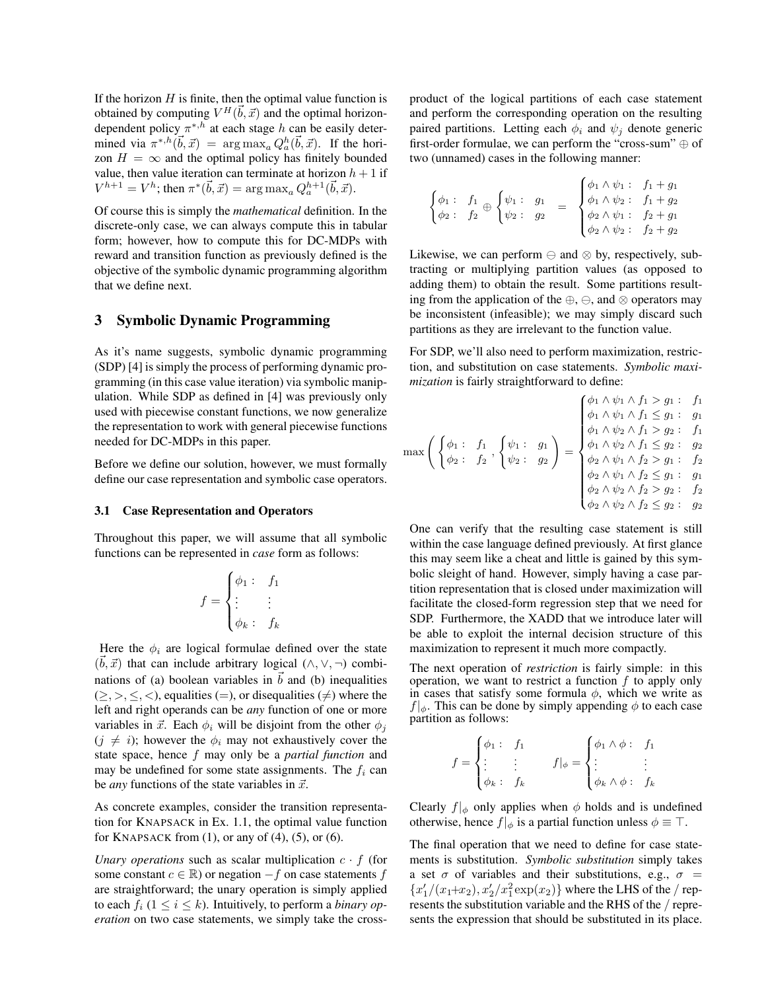If the horizon  $H$  is finite, then the optimal value function is obtained by computing  $V^H(\vec{b}, \vec{x})$  and the optimal horizondependent policy  $\pi^{*,h}$  at each stage h can be easily determined via  $\pi^{*,h}(\vec{b}, \vec{x}) = \arg \max_a Q_a^h(\vec{b}, \vec{x})$ . If the horizon  $H = \infty$  and the optimal policy has finitely bounded value, then value iteration can terminate at horizon  $h + 1$  if  $V^{h+1} = V^h$ ; then  $\pi^*(\vec{b}, \vec{x}) = \arg \max_a Q_a^{h+1}(\vec{b}, \vec{x})$ .

Of course this is simply the *mathematical* definition. In the discrete-only case, we can always compute this in tabular form; however, how to compute this for DC-MDPs with reward and transition function as previously defined is the objective of the symbolic dynamic programming algorithm that we define next.

### 3 Symbolic Dynamic Programming

As it's name suggests, symbolic dynamic programming (SDP) [4] is simply the process of performing dynamic programming (in this case value iteration) via symbolic manipulation. While SDP as defined in [4] was previously only used with piecewise constant functions, we now generalize the representation to work with general piecewise functions needed for DC-MDPs in this paper.

Before we define our solution, however, we must formally define our case representation and symbolic case operators.

#### 3.1 Case Representation and Operators

Throughout this paper, we will assume that all symbolic functions can be represented in *case* form as follows:

$$
f = \begin{cases} \phi_1: & f_1 \\ \vdots & \vdots \\ \phi_k: & f_k \end{cases}
$$

Here the  $\phi_i$  are logical formulae defined over the state  $(\vec{b}, \vec{x})$  that can include arbitrary logical  $(\wedge, \vee, \neg)$  combinations of (a) boolean variables in  $\vec{b}$  and (b) inequalities  $(\geq,>,\leq,<)$ , equalities (=), or disequalities ( $\neq$ ) where the left and right operands can be *any* function of one or more variables in  $\vec{x}$ . Each  $\phi_i$  will be disjoint from the other  $\phi_i$  $(j \neq i)$ ; however the  $\phi_i$  may not exhaustively cover the state space, hence f may only be a *partial function* and may be undefined for some state assignments. The  $f_i$  can be *any* functions of the state variables in  $\vec{x}$ .

As concrete examples, consider the transition representation for KNAPSACK in Ex. 1.1, the optimal value function for KNAPSACK from  $(1)$ , or any of  $(4)$ ,  $(5)$ , or  $(6)$ .

*Unary operations* such as scalar multiplication  $c \cdot f$  (for some constant  $c \in \mathbb{R}$ ) or negation  $-f$  on case statements f are straightforward; the unary operation is simply applied to each  $f_i$  ( $1 \le i \le k$ ). Intuitively, to perform a *binary operation* on two case statements, we simply take the crossproduct of the logical partitions of each case statement and perform the corresponding operation on the resulting paired partitions. Letting each  $\phi_i$  and  $\psi_j$  denote generic first-order formulae, we can perform the "cross-sum" ⊕ of two (unnamed) cases in the following manner:

$$
\begin{cases}\n\phi_1: f_1 \oplus \begin{cases}\n\psi_1: g_1 = \begin{cases}\n\phi_1 \wedge \psi_1: f_1 + g_1 \\
\phi_1 \wedge \psi_2: f_1 + g_2 \\
\phi_2: g_2 = \begin{cases}\n\phi_1 \wedge \psi_2: f_1 + g_2 \\
\phi_2 \wedge \psi_1: f_2 + g_1 \\
\phi_2 \wedge \psi_2: f_2 + g_2\n\end{cases}\n\end{cases}\n\end{cases}
$$

Likewise, we can perform  $\ominus$  and  $\otimes$  by, respectively, subtracting or multiplying partition values (as opposed to adding them) to obtain the result. Some partitions resulting from the application of the  $\oplus$ ,  $\ominus$ , and  $\otimes$  operators may be inconsistent (infeasible); we may simply discard such partitions as they are irrelevant to the function value.

For SDP, we'll also need to perform maximization, restriction, and substitution on case statements. *Symbolic maximization* is fairly straightforward to define:

$$
\max \left( \begin{array}{cccc} \phi_1 : & f_1 \\ \phi_2 : & f_2 \end{array} \right) \left\{ \begin{array}{cccc} \psi_1 : & g_1 \\ \psi_2 : & g_2 \end{array} \right\} = \begin{array}{cccc} \begin{array}{cccc} \phi_1 \wedge \psi_1 \wedge f_1 > g_1 : & f_1 \\ \phi_1 \wedge \psi_1 \wedge f_1 < g_1 : & g_1 \\ \phi_1 \wedge \psi_2 \wedge f_1 > g_2 : & f_1 \\ \phi_1 \wedge \psi_2 \wedge f_1 < g_2 : & g_2 \\ \phi_2 \wedge \psi_1 \wedge f_2 > g_1 : & f_2 \\ \phi_2 \wedge \psi_1 \wedge f_2 < g_1 : & g_1 \\ \phi_2 \wedge \psi_2 \wedge f_2 > g_2 : & f_2 \end{array} \end{array}
$$

One can verify that the resulting case statement is still within the case language defined previously. At first glance this may seem like a cheat and little is gained by this symbolic sleight of hand. However, simply having a case partition representation that is closed under maximization will facilitate the closed-form regression step that we need for SDP. Furthermore, the XADD that we introduce later will be able to exploit the internal decision structure of this maximization to represent it much more compactly.

The next operation of *restriction* is fairly simple: in this operation, we want to restrict a function  $f$  to apply only in cases that satisfy some formula  $\phi$ , which we write as  $f|_{\phi}$ . This can be done by simply appending  $\phi$  to each case partition as follows:

$$
f = \begin{cases} \phi_1: & f_1 \\ \vdots & \vdots \\ \phi_k: & f_k \end{cases} \qquad f|_{\phi} = \begin{cases} \phi_1 \wedge \phi: & f_1 \\ \vdots & \vdots \\ \phi_k \wedge \phi: & f_k \end{cases}
$$

Clearly  $f|_{\phi}$  only applies when  $\phi$  holds and is undefined otherwise, hence  $f|_{\phi}$  is a partial function unless  $\phi \equiv \top$ .

The final operation that we need to define for case statements is substitution. *Symbolic substitution* simply takes a set  $\sigma$  of variables and their substitutions, e.g.,  $\sigma$  =  $\{x_1'/(x_1+x_2), x_2'/x_1^2\exp(x_2)\}$  where the LHS of the / represents the substitution variable and the RHS of the / represents the expression that should be substituted in its place.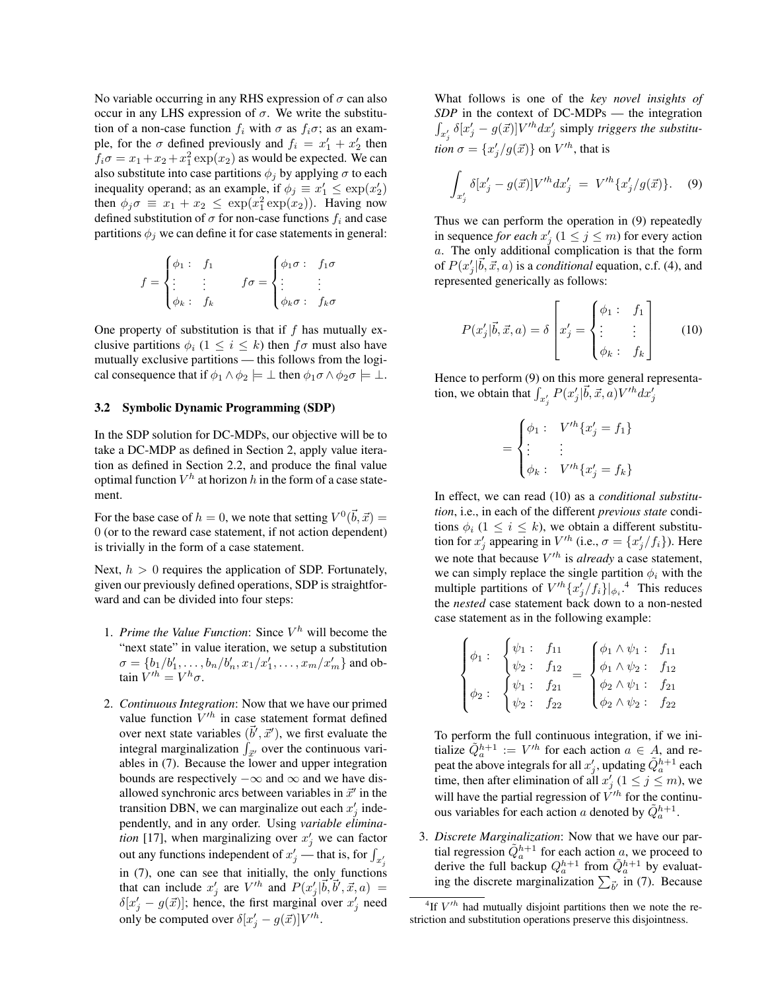No variable occurring in any RHS expression of  $\sigma$  can also occur in any LHS expression of  $σ$ . We write the substitution of a non-case function  $f_i$  with  $\sigma$  as  $f_i\sigma$ ; as an example, for the  $\sigma$  defined previously and  $f_i = x_1' + x_2'$  then  $f_i \sigma = x_1 + x_2 + x_1^2 \exp(x_2)$  as would be expected. We can also substitute into case partitions  $\phi_i$  by applying  $\sigma$  to each inequality operand; as an example, if  $\phi_j \equiv x'_1 \leq \exp(x'_2)$ then  $\phi_j \sigma \equiv x_1 + x_2 \leq \exp(x_1^2 \exp(x_2))$ . Having now defined substitution of  $\sigma$  for non-case functions  $f_i$  and case partitions  $\phi_j$  we can define it for case statements in general:

$$
f = \begin{cases} \phi_1: & f_1 \\ \vdots & \vdots \\ \phi_k: & f_k \end{cases} \qquad f \sigma = \begin{cases} \phi_1 \sigma: & f_1 \sigma \\ \vdots & \vdots \\ \phi_k \sigma: & f_k \sigma \end{cases}
$$

One property of substitution is that if  $f$  has mutually exclusive partitions  $\phi_i$  ( $1 \leq i \leq k$ ) then  $f\sigma$  must also have mutually exclusive partitions — this follows from the logical consequence that if  $\phi_1 \wedge \phi_2 \models \bot$  then  $\phi_1 \sigma \wedge \phi_2 \sigma \models \bot$ .

#### 3.2 Symbolic Dynamic Programming (SDP)

In the SDP solution for DC-MDPs, our objective will be to take a DC-MDP as defined in Section 2, apply value iteration as defined in Section 2.2, and produce the final value optimal function  $V^h$  at horizon  $h$  in the form of a case statement.

For the base case of  $h = 0$ , we note that setting  $V^0(\vec{b}, \vec{x}) =$ 0 (or to the reward case statement, if not action dependent) is trivially in the form of a case statement.

Next,  $h > 0$  requires the application of SDP. Fortunately, given our previously defined operations, SDP is straightforward and can be divided into four steps:

- 1. *Prime the Value Function*: Since  $V^h$  will become the "next state" in value iteration, we setup a substitution  $\sigma = \{b_1/b'_1, \ldots, b_n/b'_n, x_1/x'_1, \ldots, x_m/x'_m\}$  and obtain  $V'^h = V^h \sigma$ .
- 2. *Continuous Integration*: Now that we have our primed value function  $V'^h$  in case statement format defined over next state variables  $(\vec{b}', \vec{x}')$ , we first evaluate the integral marginalization  $\int_{\vec{x}'}$  over the continuous variables in (7). Because the lower and upper integration bounds are respectively  $-\infty$  and  $\infty$  and we have disallowed synchronic arcs between variables in  $\vec{x}'$  in the transition DBN, we can marginalize out each  $x'_j$  independently, and in any order. Using *variable elimination* [17], when marginalizing over  $x'_j$  we can factor out any functions independent of  $x'_j$  — that is, for  $\int_{x'_j}$ in (7), one can see that initially, the only functions that can include  $x'_j$  are  $V'^h$  and  $P(x'_j|\vec{b}, \vec{b}', \vec{x}, a) =$  $\delta[x'_j - g(\vec{x})]$ ; hence, the first marginal over  $x'_j$  need only be computed over  $\delta[x'_j - g(\vec{x})]V'^h$ .

What follows is one of the *key novel insights of SDP* in the context of DC-MDPs — the integration  $\int_{x'_j} \delta[x'_j - g(\vec{x})] V'^h dx'_j$  simply *triggers the substitution*  $\sigma = \{x_j'/g(\vec{x})\}$  on  $V'^h$ , that is

$$
\int_{x'_j} \delta[x'_j - g(\vec{x})] V'^h dx'_j = V'^h \{x'_j / g(\vec{x})\}.
$$
 (9)

Thus we can perform the operation in (9) repeatedly in sequence *for each*  $x'_j$  ( $1 \le j \le m$ ) for every action a. The only additional complication is that the form of  $P(x'_j|\vec{b}, \vec{x}, a)$  is a *conditional* equation, c.f. (4), and represented generically as follows:

$$
P(x'_j|\vec{b}, \vec{x}, a) = \delta \begin{bmatrix} x'_j = \begin{cases} \phi_1: & f_1 \\ \vdots & \vdots \\ \phi_k: & f_k \end{cases} \end{bmatrix}
$$
 (10)

Hence to perform (9) on this more general representation, we obtain that  $\int_{x'_j} P(x'_j|\vec{b}, \vec{x}, \vec{a}) V'^h dx'_j$ 

$$
= \begin{cases} \phi_1: & V'^h\{x'_j = f_1\} \\ \vdots & \vdots \\ \phi_k: & V'^h\{x'_j = f_k\} \end{cases}
$$

In effect, we can read (10) as a *conditional substitution*, i.e., in each of the different *previous state* conditions  $\phi_i$  (1  $\leq$  *i*  $\leq$  *k*), we obtain a different substitution for  $x'_j$  appearing in  $V'^h$  (i.e.,  $\sigma = \{x'_j/f_i\}$ ). Here we note that because  $V^{th}$  is *already* a case statement, we can simply replace the single partition  $\phi_i$  with the multiple partitions of  $V'^h \{x'_j/f_i\}|_{\phi_i}$ .<sup>4</sup> This reduces the *nested* case statement back down to a non-nested case statement as in the following example:

$$
\begin{cases}\n\phi_1: \begin{cases}\n\psi_1: f_{11} \\
\psi_2: f_{12} \\
\phi_1: f_{21} \\
\psi_2: \phi_2: f_{22}\n\end{cases} = \begin{cases}\n\phi_1 \wedge \psi_1: f_{11} \\
\phi_1 \wedge \psi_2: f_{12} \\
\phi_2 \wedge \psi_1: f_{21} \\
\phi_2 \wedge \psi_2: f_{22}\n\end{cases}\n\end{cases}
$$

To perform the full continuous integration, if we initialize  $\tilde{Q}_a^{h+1} := V'^h$  for each action  $a \in A$ , and repeat the above integrals for all  $x'_j$ , updating  $\tilde{Q}_a^{h+1}$  each time, then after elimination of all  $x'_{j}$   $(1 \leq j \leq m)$ , we will have the partial regression of  $V^{h}$  for the continuous variables for each action a denoted by  $\tilde{Q}_a^{h+1}$ .

3. *Discrete Marginalization*: Now that we have our partial regression  $\tilde{Q}_a^{h+1}$  for each action a, we proceed to derive the full backup  $Q_a^{h+1}$  from  $\tilde{Q}_a^{h+1}$  by evaluating the discrete marginalization  $\sum_{\vec{b}'}$  in (7). Because

<sup>&</sup>lt;sup>4</sup>If  $V^{\prime h}$  had mutually disjoint partitions then we note the restriction and substitution operations preserve this disjointness.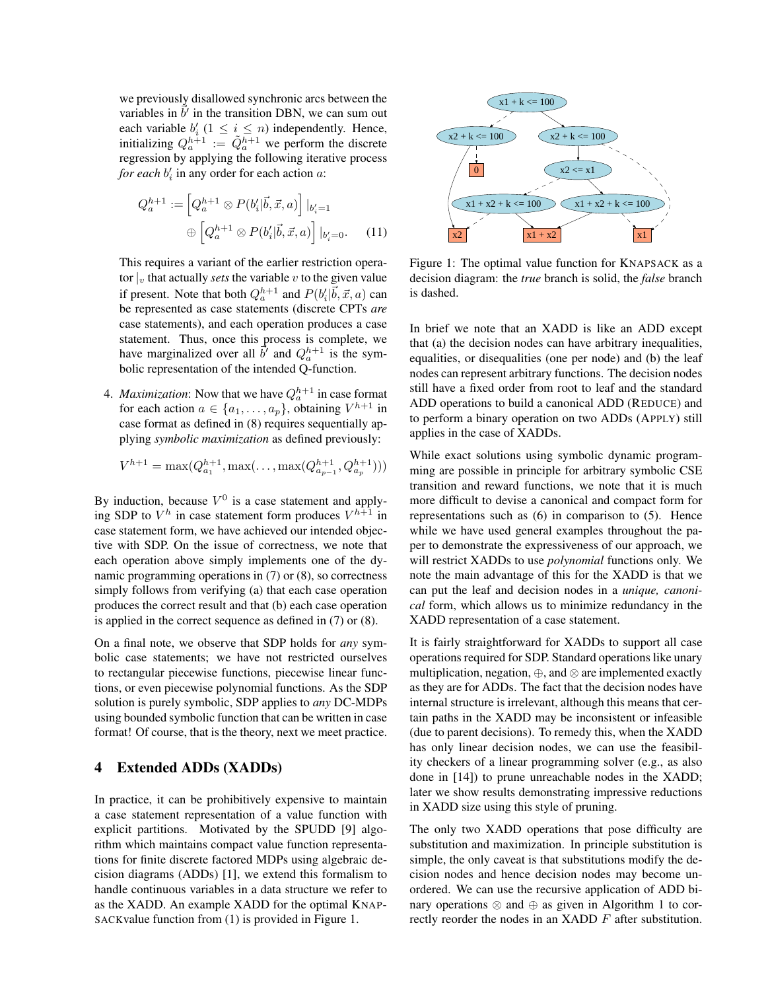we previously disallowed synchronic arcs between the variables in  $\vec{b'}$  in the transition DBN, we can sum out each variable  $b_i'$   $(1 \le i \le n)$  independently. Hence, initializing  $Q_a^{h+1} := \tilde{Q}_a^{h+1}$  we perform the discrete regression by applying the following iterative process *for each*  $b'_i$  in any order for each action  $a$ :

$$
Q_a^{h+1} := \left[ Q_a^{h+1} \otimes P(b_i' | \vec{b}, \vec{x}, a) \right] |_{b_i' = 1}
$$

$$
\oplus \left[ Q_a^{h+1} \otimes P(b_i' | \vec{b}, \vec{x}, a) \right] |_{b_i' = 0}.
$$
 (11)

This requires a variant of the earlier restriction operator  $|v|$  that actually *sets* the variable v to the given value if present. Note that both  $Q_a^{h+1}$  and  $P(b_i'|\vec{b}, \vec{x}, a)$  can be represented as case statements (discrete CPTs *are* case statements), and each operation produces a case statement. Thus, once this process is complete, we have marginalized over all  $\vec{b}$  and  $Q_a^{h+1}$  is the symbolic representation of the intended Q-function.

4. *Maximization*: Now that we have  $Q_a^{h+1}$  in case format for each action  $a \in \{a_1, \ldots, a_p\}$ , obtaining  $V^{h+1}$  in case format as defined in (8) requires sequentially applying *symbolic maximization* as defined previously:

$$
V^{h+1} = \max(Q_{a_1}^{h+1}, \max(\ldots, \max(Q_{a_{p-1}}^{h+1}, Q_{a_p}^{h+1})))
$$

By induction, because  $V^0$  is a case statement and applying SDP to  $V^h$  in case statement form produces  $V^{h+1}$  in case statement form, we have achieved our intended objective with SDP. On the issue of correctness, we note that each operation above simply implements one of the dynamic programming operations in (7) or (8), so correctness simply follows from verifying (a) that each case operation produces the correct result and that (b) each case operation is applied in the correct sequence as defined in (7) or (8).

On a final note, we observe that SDP holds for *any* symbolic case statements; we have not restricted ourselves to rectangular piecewise functions, piecewise linear functions, or even piecewise polynomial functions. As the SDP solution is purely symbolic, SDP applies to *any* DC-MDPs using bounded symbolic function that can be written in case format! Of course, that is the theory, next we meet practice.

### 4 Extended ADDs (XADDs)

In practice, it can be prohibitively expensive to maintain a case statement representation of a value function with explicit partitions. Motivated by the SPUDD [9] algorithm which maintains compact value function representations for finite discrete factored MDPs using algebraic decision diagrams (ADDs) [1], we extend this formalism to handle continuous variables in a data structure we refer to as the XADD. An example XADD for the optimal KNAP-SACKvalue function from (1) is provided in Figure 1.



Figure 1: The optimal value function for KNAPSACK as a decision diagram: the *true* branch is solid, the *false* branch is dashed.

In brief we note that an XADD is like an ADD except that (a) the decision nodes can have arbitrary inequalities, equalities, or disequalities (one per node) and (b) the leaf nodes can represent arbitrary functions. The decision nodes still have a fixed order from root to leaf and the standard ADD operations to build a canonical ADD (REDUCE) and to perform a binary operation on two ADDs (APPLY) still applies in the case of XADDs.

While exact solutions using symbolic dynamic programming are possible in principle for arbitrary symbolic CSE transition and reward functions, we note that it is much more difficult to devise a canonical and compact form for representations such as (6) in comparison to (5). Hence while we have used general examples throughout the paper to demonstrate the expressiveness of our approach, we will restrict XADDs to use *polynomial* functions only. We note the main advantage of this for the XADD is that we can put the leaf and decision nodes in a *unique, canonical* form, which allows us to minimize redundancy in the XADD representation of a case statement.

It is fairly straightforward for XADDs to support all case operations required for SDP. Standard operations like unary multiplication, negation, ⊕, and ⊗ are implemented exactly as they are for ADDs. The fact that the decision nodes have internal structure is irrelevant, although this means that certain paths in the XADD may be inconsistent or infeasible (due to parent decisions). To remedy this, when the XADD has only linear decision nodes, we can use the feasibility checkers of a linear programming solver (e.g., as also done in [14]) to prune unreachable nodes in the XADD; later we show results demonstrating impressive reductions in XADD size using this style of pruning.

The only two XADD operations that pose difficulty are substitution and maximization. In principle substitution is simple, the only caveat is that substitutions modify the decision nodes and hence decision nodes may become unordered. We can use the recursive application of ADD binary operations  $\otimes$  and  $\oplus$  as given in Algorithm 1 to correctly reorder the nodes in an XADD F after substitution.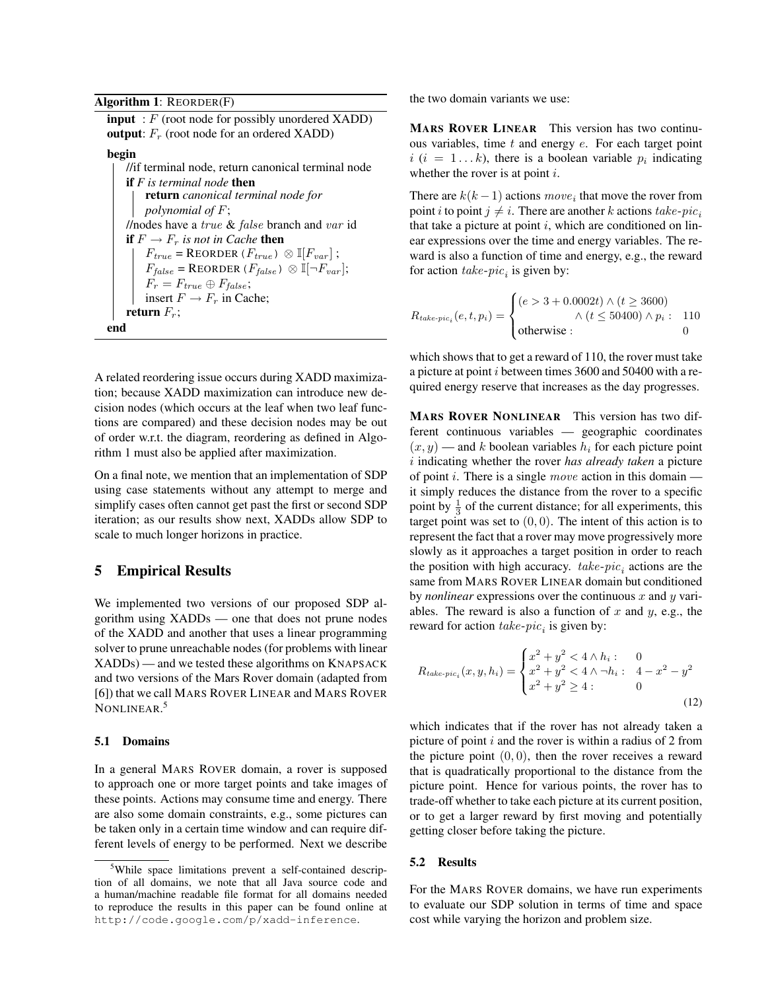Algorithm 1: REORDER(F)

 $\text{input} : F \text{ (root node for possibly unordered XADD)}$ **output:**  $F_r$  (root node for an ordered XADD) begin //if terminal node, return canonical terminal node if *F is terminal node* then return *canonical terminal node for polynomial of* F; //nodes have a true & false branch and var id **if**  $F \to F_r$  *is not in Cache* **then**  $F_{true} = \text{REORDER}(F_{true}) \otimes \mathbb{I}[F_{var}]$ ;  $F_{false} = \text{REORDER}(F_{false}) \otimes \mathbb{I}[\neg F_{var}];$  $F_r = F_{true} \oplus F_{false};$ insert  $F \to F_r$  in Cache; return  $F_r$ ;

end

A related reordering issue occurs during XADD maximization; because XADD maximization can introduce new decision nodes (which occurs at the leaf when two leaf functions are compared) and these decision nodes may be out of order w.r.t. the diagram, reordering as defined in Algorithm 1 must also be applied after maximization.

On a final note, we mention that an implementation of SDP using case statements without any attempt to merge and simplify cases often cannot get past the first or second SDP iteration; as our results show next, XADDs allow SDP to scale to much longer horizons in practice.

# 5 Empirical Results

We implemented two versions of our proposed SDP algorithm using XADDs — one that does not prune nodes of the XADD and another that uses a linear programming solver to prune unreachable nodes (for problems with linear XADDs) — and we tested these algorithms on KNAPSACK and two versions of the Mars Rover domain (adapted from [6]) that we call MARS ROVER LINEAR and MARS ROVER NONLINEAR. 5

#### 5.1 Domains

In a general MARS ROVER domain, a rover is supposed to approach one or more target points and take images of these points. Actions may consume time and energy. There are also some domain constraints, e.g., some pictures can be taken only in a certain time window and can require different levels of energy to be performed. Next we describe the two domain variants we use:

MARS ROVER LINEAR This version has two continuous variables, time  $t$  and energy  $e$ . For each target point  $i$   $(i = 1...k)$ , there is a boolean variable  $p_i$  indicating whether the rover is at point  $i$ .

There are  $k(k-1)$  actions  $move_i$  that move the rover from point i to point  $j \neq i$ . There are another k actions take-pic. that take a picture at point  $i$ , which are conditioned on linear expressions over the time and energy variables. The reward is also a function of time and energy, e.g., the reward for action  $\textit{take-pic}_i$  is given by:

$$
R_{take\text{-}pic}_i(e, t, p_i) = \begin{cases} (e > 3 + 0.0002t) \land (t \ge 3600) \\ \land (t \le 50400) \land p_i : & 110 \\ \text{otherwise} : & 0 \end{cases}
$$

which shows that to get a reward of 110, the rover must take a picture at point i between times 3600 and 50400 with a required energy reserve that increases as the day progresses.

MARS ROVER NONLINEAR This version has two different continuous variables — geographic coordinates  $(x, y)$  — and k boolean variables  $h_i$  for each picture point i indicating whether the rover *has already taken* a picture of point *i*. There is a single *move* action in this domain it simply reduces the distance from the rover to a specific point by  $\frac{1}{3}$  of the current distance; for all experiments, this target point was set to  $(0, 0)$ . The intent of this action is to represent the fact that a rover may move progressively more slowly as it approaches a target position in order to reach the position with high accuracy.  $take\text{-}pic_i$  actions are the same from MARS ROVER LINEAR domain but conditioned by *nonlinear* expressions over the continuous  $x$  and  $y$  variables. The reward is also a function of  $x$  and  $y$ , e.g., the reward for action  $\textit{take-pic}_i$  is given by:

$$
R_{take\text{-}pic}_i(x, y, h_i) = \begin{cases} x^2 + y^2 < 4 \land h_i: & 0\\ x^2 + y^2 < 4 \land \neg h_i: & 4 - x^2 - y^2\\ x^2 + y^2 > 4: & 0 \end{cases} \tag{12}
$$

which indicates that if the rover has not already taken a picture of point  $i$  and the rover is within a radius of 2 from the picture point  $(0, 0)$ , then the rover receives a reward that is quadratically proportional to the distance from the picture point. Hence for various points, the rover has to trade-off whether to take each picture at its current position, or to get a larger reward by first moving and potentially getting closer before taking the picture.

#### 5.2 Results

For the MARS ROVER domains, we have run experiments to evaluate our SDP solution in terms of time and space cost while varying the horizon and problem size.

<sup>&</sup>lt;sup>5</sup>While space limitations prevent a self-contained description of all domains, we note that all Java source code and a human/machine readable file format for all domains needed to reproduce the results in this paper can be found online at http://code.google.com/p/xadd-inference.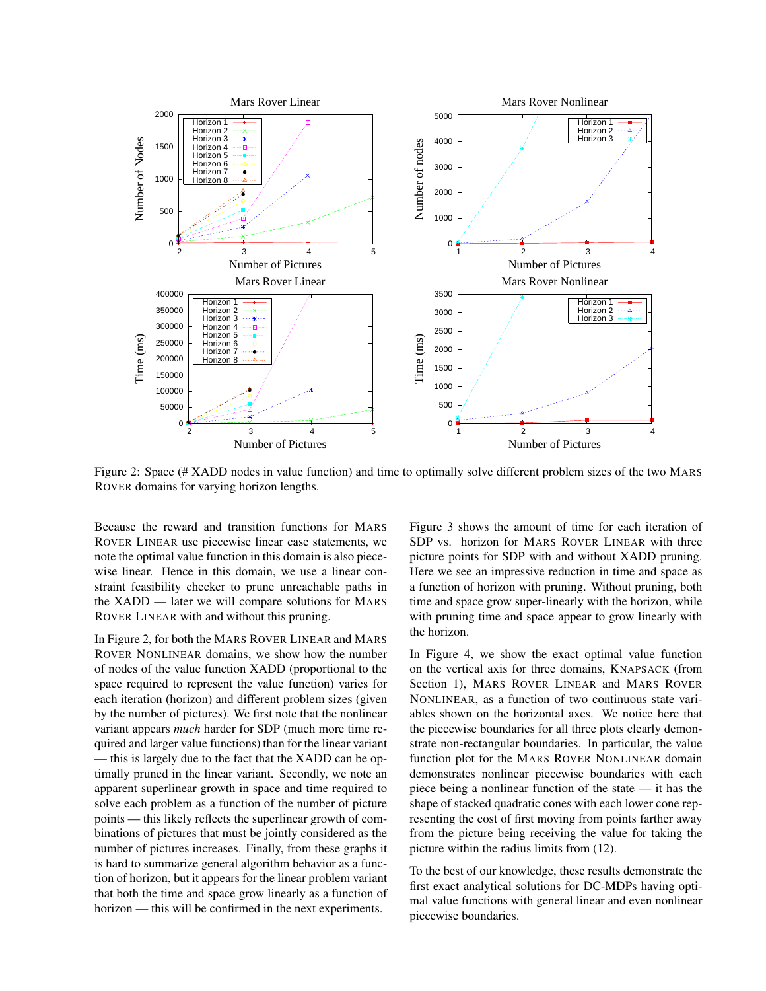

Figure 2: Space (# XADD nodes in value function) and time to optimally solve different problem sizes of the two MARS ROVER domains for varying horizon lengths.

Because the reward and transition functions for MARS ROVER LINEAR use piecewise linear case statements, we note the optimal value function in this domain is also piecewise linear. Hence in this domain, we use a linear constraint feasibility checker to prune unreachable paths in the XADD — later we will compare solutions for MARS ROVER LINEAR with and without this pruning.

In Figure 2, for both the MARS ROVER LINEAR and MARS ROVER NONLINEAR domains, we show how the number of nodes of the value function XADD (proportional to the space required to represent the value function) varies for each iteration (horizon) and different problem sizes (given by the number of pictures). We first note that the nonlinear variant appears *much* harder for SDP (much more time required and larger value functions) than for the linear variant — this is largely due to the fact that the XADD can be optimally pruned in the linear variant. Secondly, we note an apparent superlinear growth in space and time required to solve each problem as a function of the number of picture points — this likely reflects the superlinear growth of combinations of pictures that must be jointly considered as the number of pictures increases. Finally, from these graphs it is hard to summarize general algorithm behavior as a function of horizon, but it appears for the linear problem variant that both the time and space grow linearly as a function of horizon — this will be confirmed in the next experiments.

Figure 3 shows the amount of time for each iteration of SDP vs. horizon for MARS ROVER LINEAR with three picture points for SDP with and without XADD pruning. Here we see an impressive reduction in time and space as a function of horizon with pruning. Without pruning, both time and space grow super-linearly with the horizon, while with pruning time and space appear to grow linearly with the horizon.

In Figure 4, we show the exact optimal value function on the vertical axis for three domains, KNAPSACK (from Section 1), MARS ROVER LINEAR and MARS ROVER NONLINEAR, as a function of two continuous state variables shown on the horizontal axes. We notice here that the piecewise boundaries for all three plots clearly demonstrate non-rectangular boundaries. In particular, the value function plot for the MARS ROVER NONLINEAR domain demonstrates nonlinear piecewise boundaries with each piece being a nonlinear function of the state — it has the shape of stacked quadratic cones with each lower cone representing the cost of first moving from points farther away from the picture being receiving the value for taking the picture within the radius limits from (12).

To the best of our knowledge, these results demonstrate the first exact analytical solutions for DC-MDPs having optimal value functions with general linear and even nonlinear piecewise boundaries.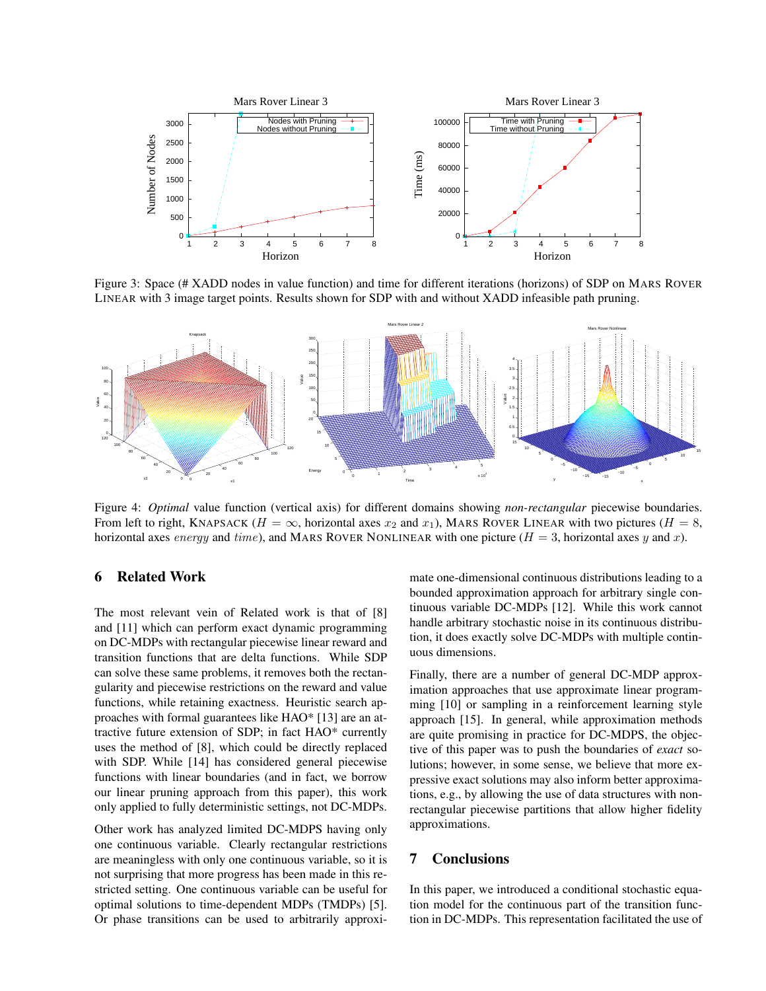

Figure 3: Space (# XADD nodes in value function) and time for different iterations (horizons) of SDP on MARS ROVER LINEAR with 3 image target points. Results shown for SDP with and without XADD infeasible path pruning.



Figure 4: *Optimal* value function (vertical axis) for different domains showing *non-rectangular* piecewise boundaries. From left to right, KNAPSACK ( $H = \infty$ , horizontal axes  $x_2$  and  $x_1$ ), MARS ROVER LINEAR with two pictures ( $H = 8$ , horizontal axes energy and time), and MARS ROVER NONLINEAR with one picture ( $H = 3$ , horizontal axes y and x).

# 6 Related Work

The most relevant vein of Related work is that of [8] and [11] which can perform exact dynamic programming on DC-MDPs with rectangular piecewise linear reward and transition functions that are delta functions. While SDP can solve these same problems, it removes both the rectangularity and piecewise restrictions on the reward and value functions, while retaining exactness. Heuristic search approaches with formal guarantees like HAO\* [13] are an attractive future extension of SDP; in fact HAO\* currently uses the method of [8], which could be directly replaced with SDP. While [14] has considered general piecewise functions with linear boundaries (and in fact, we borrow our linear pruning approach from this paper), this work only applied to fully deterministic settings, not DC-MDPs.

Other work has analyzed limited DC-MDPS having only one continuous variable. Clearly rectangular restrictions are meaningless with only one continuous variable, so it is not surprising that more progress has been made in this restricted setting. One continuous variable can be useful for optimal solutions to time-dependent MDPs (TMDPs) [5]. Or phase transitions can be used to arbitrarily approxi-

mate one-dimensional continuous distributions leading to a bounded approximation approach for arbitrary single continuous variable DC-MDPs [12]. While this work cannot handle arbitrary stochastic noise in its continuous distribution, it does exactly solve DC-MDPs with multiple continuous dimensions.

Finally, there are a number of general DC-MDP approximation approaches that use approximate linear programming [10] or sampling in a reinforcement learning style approach [15]. In general, while approximation methods are quite promising in practice for DC-MDPS, the objective of this paper was to push the boundaries of *exact* solutions; however, in some sense, we believe that more expressive exact solutions may also inform better approximations, e.g., by allowing the use of data structures with nonrectangular piecewise partitions that allow higher fidelity approximations.

### 7 Conclusions

In this paper, we introduced a conditional stochastic equation model for the continuous part of the transition function in DC-MDPs. This representation facilitated the use of